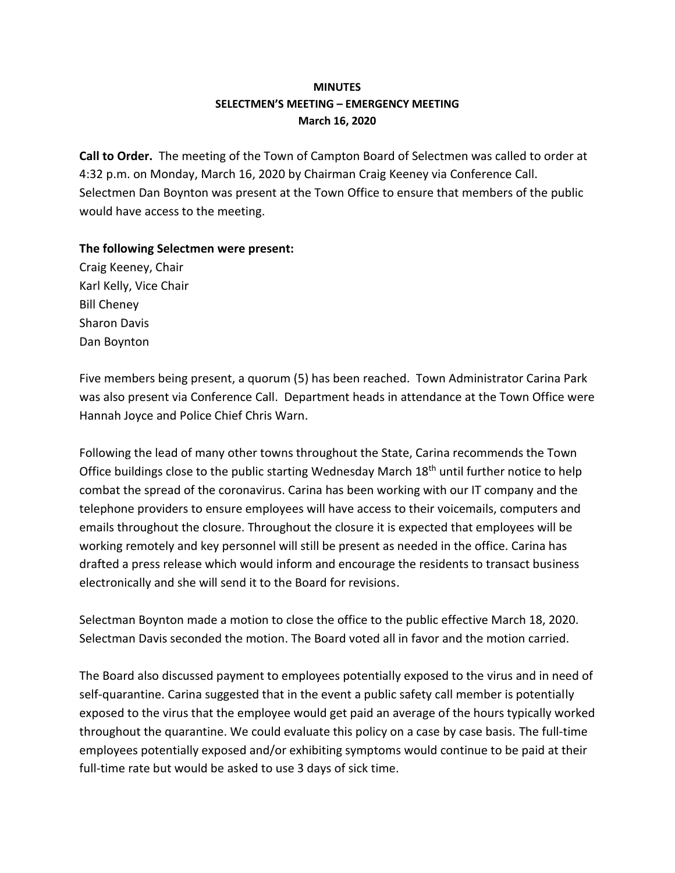## **MINUTES SELECTMEN'S MEETING – EMERGENCY MEETING March 16, 2020**

**Call to Order.** The meeting of the Town of Campton Board of Selectmen was called to order at 4:32 p.m. on Monday, March 16, 2020 by Chairman Craig Keeney via Conference Call. Selectmen Dan Boynton was present at the Town Office to ensure that members of the public would have access to the meeting.

## **The following Selectmen were present:**

Craig Keeney, Chair Karl Kelly, Vice Chair Bill Cheney Sharon Davis Dan Boynton

Five members being present, a quorum (5) has been reached.Town Administrator Carina Park was also present via Conference Call. Department heads in attendance at the Town Office were Hannah Joyce and Police Chief Chris Warn.

Following the lead of many other towns throughout the State, Carina recommends the Town Office buildings close to the public starting Wednesday March 18<sup>th</sup> until further notice to help combat the spread of the coronavirus. Carina has been working with our IT company and the telephone providers to ensure employees will have access to their voicemails, computers and emails throughout the closure. Throughout the closure it is expected that employees will be working remotely and key personnel will still be present as needed in the office. Carina has drafted a press release which would inform and encourage the residents to transact business electronically and she will send it to the Board for revisions.

Selectman Boynton made a motion to close the office to the public effective March 18, 2020. Selectman Davis seconded the motion. The Board voted all in favor and the motion carried.

The Board also discussed payment to employees potentially exposed to the virus and in need of self-quarantine. Carina suggested that in the event a public safety call member is potentially exposed to the virus that the employee would get paid an average of the hours typically worked throughout the quarantine. We could evaluate this policy on a case by case basis. The full-time employees potentially exposed and/or exhibiting symptoms would continue to be paid at their full-time rate but would be asked to use 3 days of sick time.